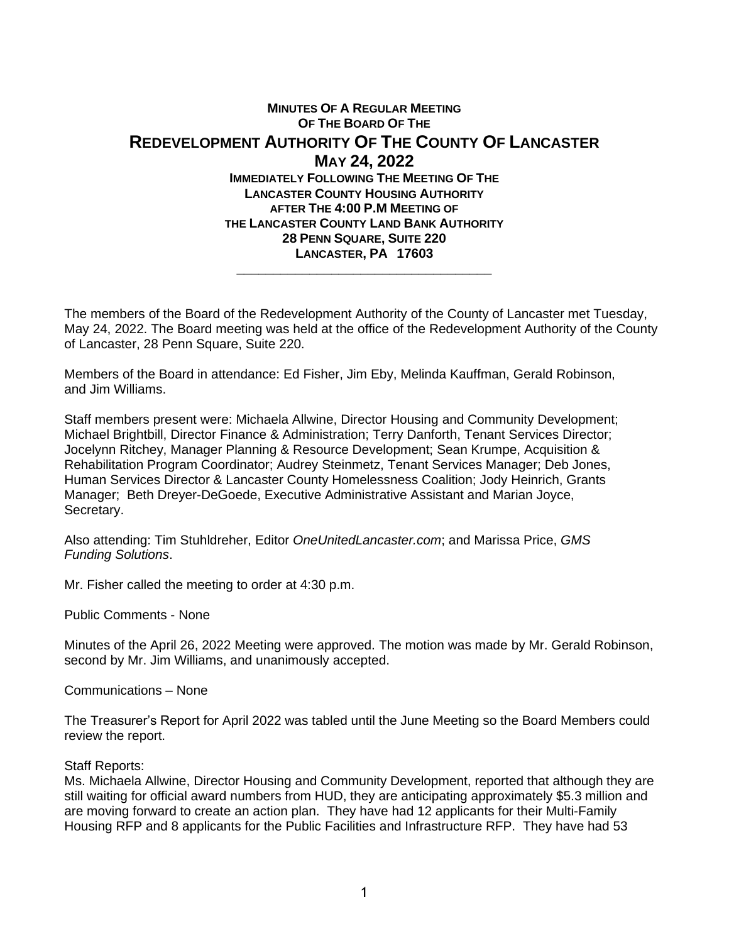## **MINUTES OF A REGULAR MEETING OF THE BOARD OF THE REDEVELOPMENT AUTHORITY OF THE COUNTY OF LANCASTER MAY 24, 2022 IMMEDIATELY FOLLOWING THE MEETING OF THE LANCASTER COUNTY HOUSING AUTHORITY AFTER THE 4:00 P.M MEETING OF THE LANCASTER COUNTY LAND BANK AUTHORITY 28 PENN SQUARE, SUITE 220 LANCASTER, PA 17603 \_\_\_\_\_\_\_\_\_\_\_\_\_\_\_\_\_\_\_\_\_\_\_\_\_\_\_\_\_\_\_\_\_\_\_**

The members of the Board of the Redevelopment Authority of the County of Lancaster met Tuesday, May 24, 2022. The Board meeting was held at the office of the Redevelopment Authority of the County of Lancaster, 28 Penn Square, Suite 220.

Members of the Board in attendance: Ed Fisher, Jim Eby, Melinda Kauffman, Gerald Robinson, and Jim Williams.

Staff members present were: Michaela Allwine, Director Housing and Community Development; Michael Brightbill, Director Finance & Administration; Terry Danforth, Tenant Services Director; Jocelynn Ritchey, Manager Planning & Resource Development; Sean Krumpe, Acquisition & Rehabilitation Program Coordinator; Audrey Steinmetz, Tenant Services Manager; Deb Jones, Human Services Director & Lancaster County Homelessness Coalition; Jody Heinrich, Grants Manager; Beth Dreyer-DeGoede, Executive Administrative Assistant and Marian Joyce, Secretary.

Also attending: Tim Stuhldreher, Editor *OneUnitedLancaster.com*; and Marissa Price, *GMS Funding Solutions*.

Mr. Fisher called the meeting to order at 4:30 p.m.

Public Comments - None

Minutes of the April 26, 2022 Meeting were approved. The motion was made by Mr. Gerald Robinson, second by Mr. Jim Williams, and unanimously accepted.

Communications – None

The Treasurer's Report for April 2022 was tabled until the June Meeting so the Board Members could review the report.

## Staff Reports:

Ms. Michaela Allwine, Director Housing and Community Development, reported that although they are still waiting for official award numbers from HUD, they are anticipating approximately \$5.3 million and are moving forward to create an action plan. They have had 12 applicants for their Multi-Family Housing RFP and 8 applicants for the Public Facilities and Infrastructure RFP. They have had 53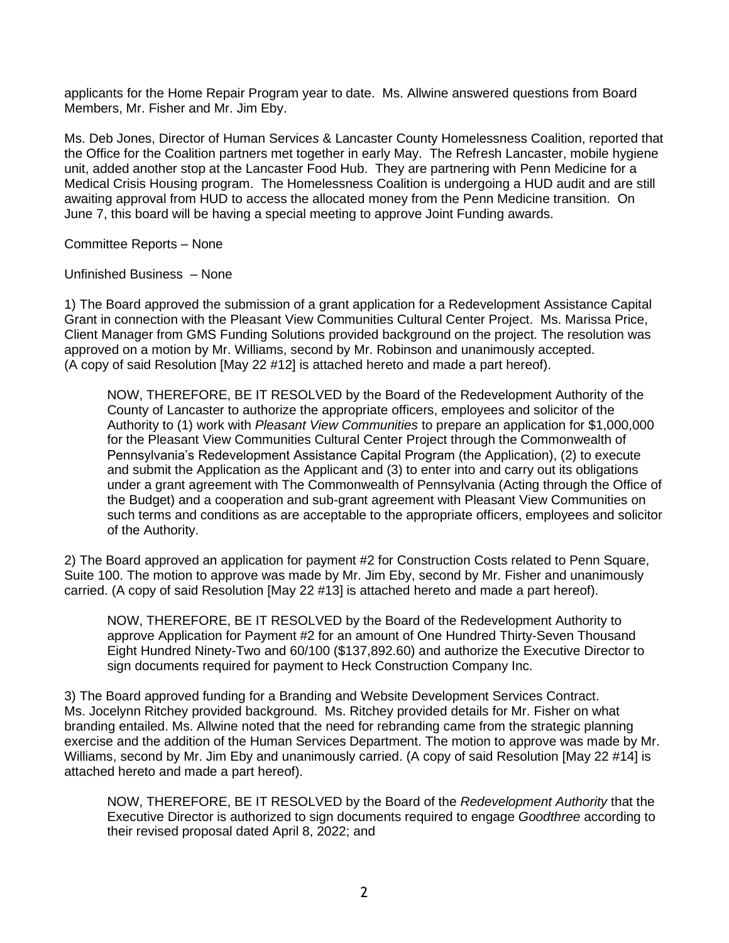applicants for the Home Repair Program year to date. Ms. Allwine answered questions from Board Members, Mr. Fisher and Mr. Jim Eby.

Ms. Deb Jones, Director of Human Service*s* & Lancaster County Homelessness Coalition, reported that the Office for the Coalition partners met together in early May. The Refresh Lancaster, mobile hygiene unit, added another stop at the Lancaster Food Hub. They are partnering with Penn Medicine for a Medical Crisis Housing program. The Homelessness Coalition is undergoing a HUD audit and are still awaiting approval from HUD to access the allocated money from the Penn Medicine transition. On June 7, this board will be having a special meeting to approve Joint Funding awards.

Committee Reports – None

Unfinished Business – None

1) The Board approved the submission of a grant application for a Redevelopment Assistance Capital Grant in connection with the Pleasant View Communities Cultural Center Project. Ms. Marissa Price, Client Manager from GMS Funding Solutions provided background on the project. The resolution was approved on a motion by Mr. Williams, second by Mr. Robinson and unanimously accepted. (A copy of said Resolution [May 22 #12] is attached hereto and made a part hereof).

NOW, THEREFORE, BE IT RESOLVED by the Board of the Redevelopment Authority of the County of Lancaster to authorize the appropriate officers, employees and solicitor of the Authority to (1) work with *Pleasant View Communities* to prepare an application for \$1,000,000 for the Pleasant View Communities Cultural Center Project through the Commonwealth of Pennsylvania's Redevelopment Assistance Capital Program (the Application), (2) to execute and submit the Application as the Applicant and (3) to enter into and carry out its obligations under a grant agreement with The Commonwealth of Pennsylvania (Acting through the Office of the Budget) and a cooperation and sub-grant agreement with Pleasant View Communities on such terms and conditions as are acceptable to the appropriate officers, employees and solicitor of the Authority.

2) The Board approved an application for payment #2 for Construction Costs related to Penn Square, Suite 100. The motion to approve was made by Mr. Jim Eby, second by Mr. Fisher and unanimously carried. (A copy of said Resolution [May 22 #13] is attached hereto and made a part hereof).

NOW, THEREFORE, BE IT RESOLVED by the Board of the Redevelopment Authority to approve Application for Payment #2 for an amount of One Hundred Thirty-Seven Thousand Eight Hundred Ninety-Two and 60/100 (\$137,892.60) and authorize the Executive Director to sign documents required for payment to Heck Construction Company Inc.

3) The Board approved funding for a Branding and Website Development Services Contract. Ms. Jocelynn Ritchey provided background. Ms. Ritchey provided details for Mr. Fisher on what branding entailed. Ms. Allwine noted that the need for rebranding came from the strategic planning exercise and the addition of the Human Services Department. The motion to approve was made by Mr. Williams, second by Mr. Jim Eby and unanimously carried. (A copy of said Resolution [May 22 #14] is attached hereto and made a part hereof).

NOW, THEREFORE, BE IT RESOLVED by the Board of the *Redevelopment Authority* that the Executive Director is authorized to sign documents required to engage *Goodthree* according to their revised proposal dated April 8, 2022; and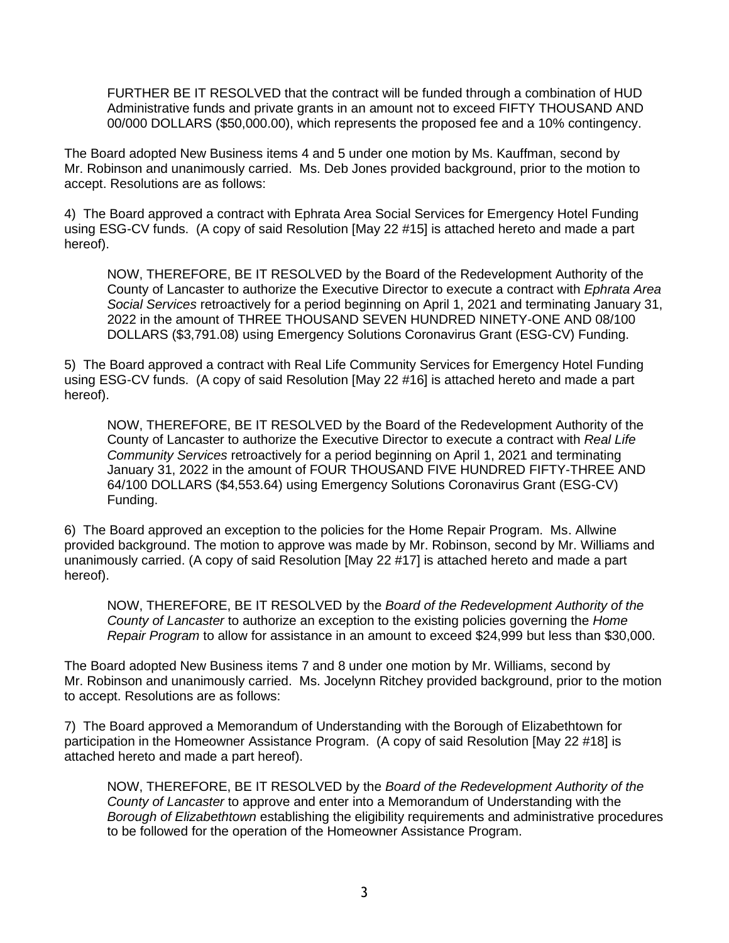FURTHER BE IT RESOLVED that the contract will be funded through a combination of HUD Administrative funds and private grants in an amount not to exceed FIFTY THOUSAND AND 00/000 DOLLARS (\$50,000.00), which represents the proposed fee and a 10% contingency.

The Board adopted New Business items 4 and 5 under one motion by Ms. Kauffman, second by Mr. Robinson and unanimously carried. Ms. Deb Jones provided background, prior to the motion to accept. Resolutions are as follows:

4) The Board approved a contract with Ephrata Area Social Services for Emergency Hotel Funding using ESG-CV funds. (A copy of said Resolution [May 22 #15] is attached hereto and made a part hereof).

NOW, THEREFORE, BE IT RESOLVED by the Board of the Redevelopment Authority of the County of Lancaster to authorize the Executive Director to execute a contract with *Ephrata Area Social Services* retroactively for a period beginning on April 1, 2021 and terminating January 31, 2022 in the amount of THREE THOUSAND SEVEN HUNDRED NINETY-ONE AND 08/100 DOLLARS (\$3,791.08) using Emergency Solutions Coronavirus Grant (ESG-CV) Funding.

5) The Board approved a contract with Real Life Community Services for Emergency Hotel Funding using ESG-CV funds. (A copy of said Resolution [May 22 #16] is attached hereto and made a part hereof).

NOW, THEREFORE, BE IT RESOLVED by the Board of the Redevelopment Authority of the County of Lancaster to authorize the Executive Director to execute a contract with *Real Life Community Services* retroactively for a period beginning on April 1, 2021 and terminating January 31, 2022 in the amount of FOUR THOUSAND FIVE HUNDRED FIFTY-THREE AND 64/100 DOLLARS (\$4,553.64) using Emergency Solutions Coronavirus Grant (ESG-CV) Funding.

6) The Board approved an exception to the policies for the Home Repair Program. Ms. Allwine provided background. The motion to approve was made by Mr. Robinson, second by Mr. Williams and unanimously carried. (A copy of said Resolution [May 22 #17] is attached hereto and made a part hereof).

NOW, THEREFORE, BE IT RESOLVED by the *Board of the Redevelopment Authority of the County of Lancaster* to authorize an exception to the existing policies governing the *Home Repair Program* to allow for assistance in an amount to exceed \$24,999 but less than \$30,000.

The Board adopted New Business items 7 and 8 under one motion by Mr. Williams, second by Mr. Robinson and unanimously carried. Ms. Jocelynn Ritchey provided background, prior to the motion to accept. Resolutions are as follows:

7) The Board approved a Memorandum of Understanding with the Borough of Elizabethtown for participation in the Homeowner Assistance Program. (A copy of said Resolution [May 22 #18] is attached hereto and made a part hereof).

NOW, THEREFORE, BE IT RESOLVED by the *Board of the Redevelopment Authority of the County of Lancaster* to approve and enter into a Memorandum of Understanding with the *Borough of Elizabethtown* establishing the eligibility requirements and administrative procedures to be followed for the operation of the Homeowner Assistance Program.